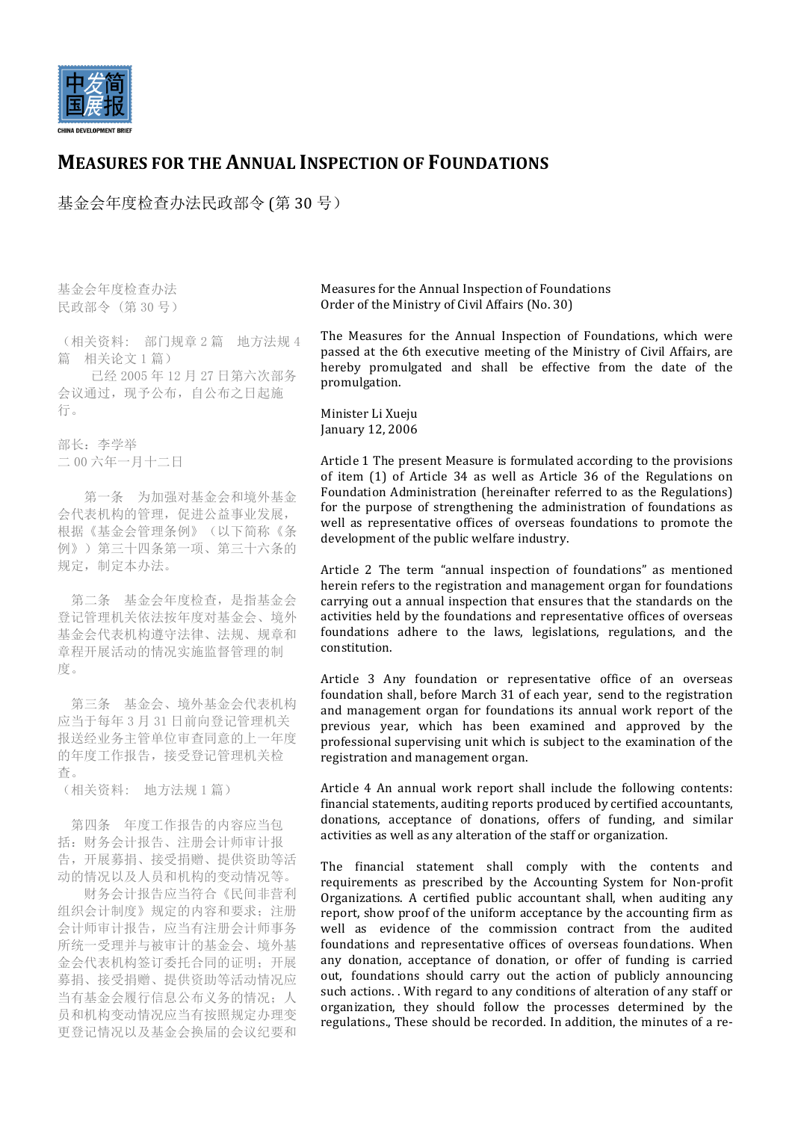

## **MEASURES FOR THE ANNUAL INSPECTION OF FOUNDATIONS**

基金会年度检查办法民政部令 (第 30 号)

基金会年度检查办法 民政部令 (第 30 号)

(相关资料: 部门规章 2 篇 地方法规 4 篇 相关论文 1 篇)

 已经 2005 年 12 月 27 日第六次部务 会议通过,现予公布,自公布之日起施 行。

部长:李学举 二 00 六年一月十二日

 第一条 为加强对基金会和境外基金 会代表机构的管理,促进公益事业发展, 根据《基金会管理条例》(以下简称《条 例》)第三十四条第一项、第三十六条的 规定,制定本办法。

第二条 基金会年度检查,是指基金会 登记管理机关依法按年度对基金会、境外 基金会代表机构遵守法律、法规、规章和 章程开展活动的情况实施监督管理的制 度。

第三条 基金会、境外基金会代表机构 应当于每年 3 月 31 日前向登记管理机关 报送经业务主管单位审查同意的上一年度 的年度工作报告,接受登记管理机关检 查。

(相关资料: 地方法规 1 篇)

第四条 年度工作报告的内容应当包 括:财务会计报告、注册会计师审计报 告,开展募捐、接受捐赠、提供资助等活 动的情况以及人员和机构的变动情况等。

 财务会计报告应当符合《民间非营利 组织会计制度》规定的内容和要求: 注册 会计师审计报告,应当有注册会计师事务 所统一受理并与被审计的基金会、境外基 金会代表机构签订委托合同的证明;开展 募捐、接受捐赠、提供资助等活动情况应 当有基金会履行信息公布义务的情况;人 员和机构变动情况应当有按照规定办理变 更登记情况以及基金会换届的会议纪要和 Measures for the Annual Inspection of Foundations Order of the Ministry of Civil Affairs (No. 30)

The Measures for the Annual Inspection of Foundations, which were passed at the 6th executive meeting of the Ministry of Civil Affairs, are hereby promulgated and shall be effective from the date of the promulgation.

Minister Li Xueju January 12, 2006

Article 1 The present Measure is formulated according to the provisions of item (1) of Article 34 as well as Article 36 of the Regulations on Foundation Administration (hereinafter referred to as the Regulations) for the purpose of strengthening the administration of foundations as well as representative offices of overseas foundations to promote the development of the public welfare industry.

Article 2 The term "annual inspection of foundations" as mentioned herein refers to the registration and management organ for foundations carrying out a annual inspection that ensures that the standards on the activities held by the foundations and representative offices of overseas foundations adhere to the laws, legislations, regulations, and the constitution.

Article 3 Any foundation or representative office of an overseas foundation shall, before March 31 of each year, send to the registration and management organ for foundations its annual work report of the previous year, which has been examined and approved by the professional supervising unit which is subject to the examination of the registration and management organ.

Article 4 An annual work report shall include the following contents: financial statements, auditing reports produced by certified accountants, donations, acceptance of donations, offers of funding, and similar activities as well as any alteration of the staff or organization.

The financial statement shall comply with the contents and requirements as prescribed by the Accounting System for Non-profit Organizations. A certified public accountant shall, when auditing any report, show proof of the uniform acceptance by the accounting firm as well as evidence of the commission contract from the audited foundations and representative offices of overseas foundations. When any donation, acceptance of donation, or offer of funding is carried out, foundations should carry out the action of publicly announcing such actions. With regard to any conditions of alteration of any staff or organization, they should follow the processes determined by the regulations., These should be recorded. In addition, the minutes of a re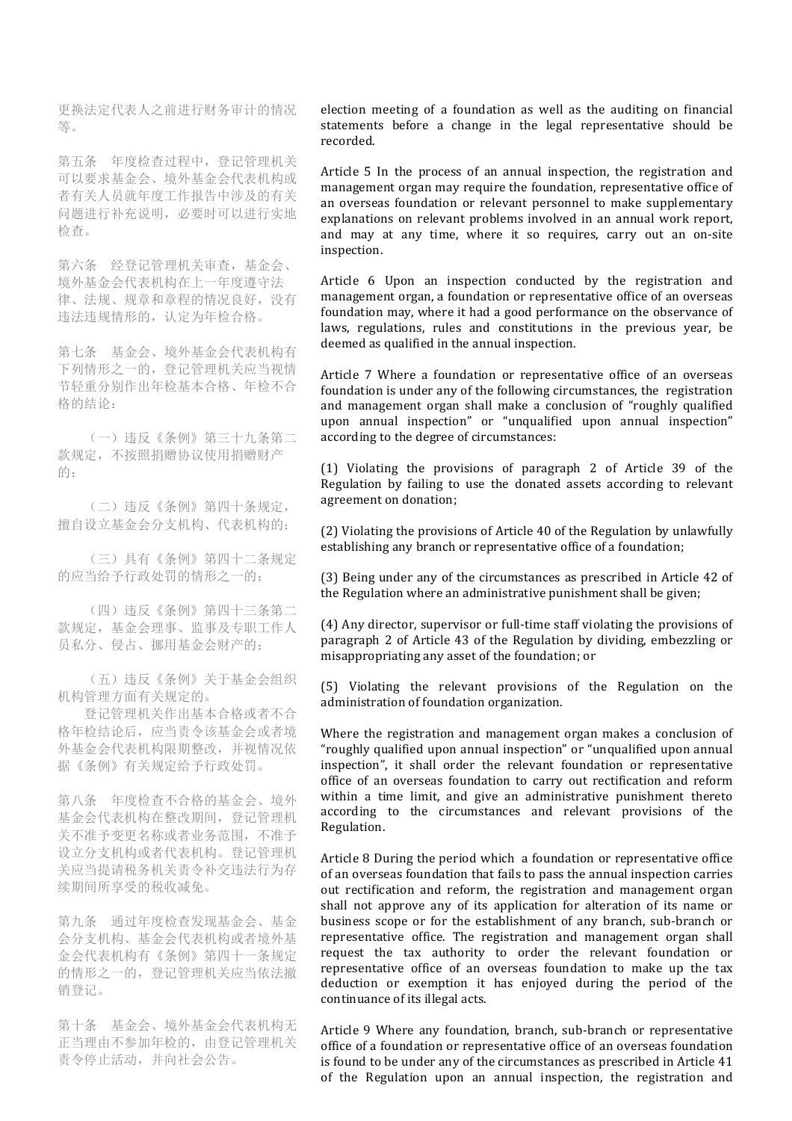更换法定代表人之前进行财务审计的情况 等。

第五条 年度检查过程中,登记管理机关 可以要求基金会、境外基金会代表机构或 者有关人员就年度工作报告中涉及的有关 问题进行补充说明,必要时可以进行实地 检查。

第六条 经登记管理机关审查,基金会、 境外基金会代表机构在上一年度遵守法 律、法规、规章和章程的情况良好,没有 违法违规情形的,认定为年检合格。

第七条 基金会、境外基金会代表机构有 下列情形之一的,登记管理机关应当视情 节轻重分别作出年检基本合格、年检不合 格的结论:

 (一)违反《条例》第三十九条第二 款规定,不按照捐赠协议使用捐赠财产 的;

 (二)违反《条例》第四十条规定, 擅自设立基金会分支机构、代表机构的;

 (三)具有《条例》第四十二条规定 的应当给予行政处罚的情形之一的;

 (四)违反《条例》第四十三条第二 款规定,基金会理事、监事及专职工作人 员私分、侵占、挪用基金会财产的;

 (五)违反《条例》关于基金会组织 机构管理方面有关规定的。

 登记管理机关作出基本合格或者不合 格年检结论后,应当责令该基金会或者境 外基金会代表机构限期整改,并视情况依 据《条例》有关规定给予行政处罚。

第八条 年度检查不合格的基金会、境外 基金会代表机构在整改期间,登记管理机 关不准予变更名称或者业务范围,不准予 设立分支机构或者代表机构。登记管理机 关应当提请税务机关责令补交违法行为存 续期间所享受的税收减免。

第九条 通过年度检查发现基金会、基金 会分支机构、基金会代表机构或者境外基 金会代表机构有《条例》第四十一条规定 的情形之一的,登记管理机关应当依法撤 销登记。

第十条 基金会、境外基金会代表机构无 正当理由不参加年检的,由登记管理机关 责令停止活动,并向社会公告。

election meeting of a foundation as well as the auditing on financial statements before a change in the legal representative should be recorded.

Article 5 In the process of an annual inspection, the registration and management organ may require the foundation, representative office of an overseas foundation or relevant personnel to make supplementary explanations on relevant problems involved in an annual work report, and may at any time, where it so requires, carry out an on-site inspection.

Article 6 Upon an inspection conducted by the registration and management organ, a foundation or representative office of an overseas foundation may, where it had a good performance on the observance of laws, regulations, rules and constitutions in the previous year, be deemed as qualified in the annual inspection.

Article 7 Where a foundation or representative office of an overseas foundation is under any of the following circumstances, the registration and management organ shall make a conclusion of "roughly qualified upon annual inspection" or "unqualified upon annual inspection" according to the degree of circumstances:

(1) Violating the provisions of paragraph 2 of Article 39 of the Regulation by failing to use the donated assets according to relevant agreement on donation;

(2) Violating the provisions of Article 40 of the Regulation by unlawfully establishing any branch or representative office of a foundation;

(3) Being under any of the circumstances as prescribed in Article 42 of the Regulation where an administrative punishment shall be given;

(4) Any director, supervisor or full-time staff violating the provisions of paragraph 2 of Article 43 of the Regulation by dividing, embezzling or misappropriating any asset of the foundation; or

(5) Violating the relevant provisions of the Regulation on the administration of foundation organization.

Where the registration and management organ makes a conclusion of "roughly qualified upon annual inspection" or "unqualified upon annual  $\overrightarrow{a}$  inspection", it shall order the relevant foundation or representative office of an overseas foundation to carry out rectification and reform within a time limit, and give an administrative punishment thereto according to the circumstances and relevant provisions of the Regulation.

Article 8 During the period which a foundation or representative office of an overseas foundation that fails to pass the annual inspection carries out rectification and reform, the registration and management organ shall not approve any of its application for alteration of its name or business scope or for the establishment of any branch, sub-branch or representative office. The registration and management organ shall request the tax authority to order the relevant foundation or representative office of an overseas foundation to make up the tax deduction or exemption it has enjoyed during the period of the continuance of its illegal acts.

Article 9 Where any foundation, branch, sub-branch or representative office of a foundation or representative office of an overseas foundation is found to be under any of the circumstances as prescribed in Article 41 of the Regulation upon an annual inspection, the registration and